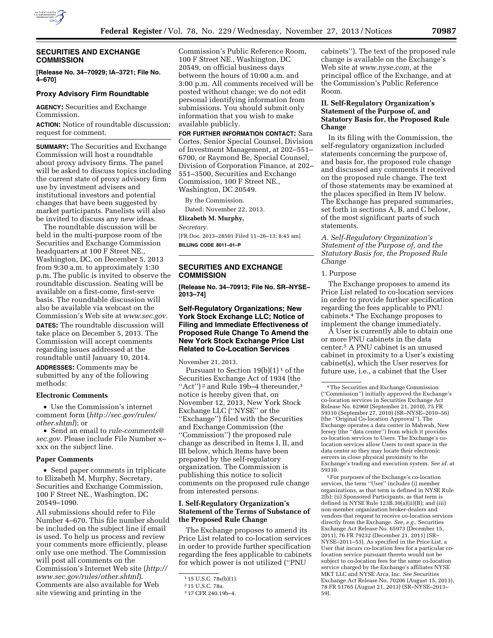

## **SECURITIES AND EXCHANGE COMMISSION**

**[Release No. 34–70929; IA–3721; File No. 4–670]** 

### **Proxy Advisory Firm Roundtable**

**AGENCY:** Securities and Exchange Commission.

**ACTION:** Notice of roundtable discussion; request for comment.

**SUMMARY:** The Securities and Exchange Commission will host a roundtable about proxy advisory firms. The panel will be asked to discuss topics including the current state of proxy advisory firm use by investment advisers and institutional investors and potential changes that have been suggested by market participants. Panelists will also be invited to discuss any new ideas.

The roundtable discussion will be held in the multi-purpose room of the Securities and Exchange Commission headquarters at 100 F Street NE., Washington, DC, on December 5, 2013 from 9:30 a.m. to approximately 1:30 p.m. The public is invited to observe the roundtable discussion. Seating will be available on a first-come, first-serve basis. The roundtable discussion will also be available via webcast on the Commission's Web site at *[www.sec.gov.](http://www.sec.gov)* 

**DATES:** The roundtable discussion will take place on December 5, 2013. The Commission will accept comments regarding issues addressed at the roundtable until January 10, 2014.

**ADDRESSES:** Comments may be submitted by any of the following methods:

#### **Electronic Comments**

• Use the Commission's internet comment form (*[http://sec.gov/rules/](http://sec.gov/rules/other.shtml) [other.shtml](http://sec.gov/rules/other.shtml)*); or

• Send an email to *[rule-comments@](mailto:rule-comments@sec.gov) [sec.gov.](mailto:rule-comments@sec.gov)* Please include File Number x– xxx on the subject line.

#### **Paper Comments**

• Send paper comments in triplicate to Elizabeth M. Murphy, Secretary, Securities and Exchange Commission, 100 F Street NE., Washington, DC 20549–1090.

All submissions should refer to File Number 4–670. This file number should be included on the subject line if email is used. To help us process and review your comments more efficiently, please only use one method. The Commission will post all comments on the Commission's Internet Web site (*[http://](http://www.sec.gov/rules/other.shtml)  [www.sec.gov/rules/other.shtml](http://www.sec.gov/rules/other.shtml)*). Comments are also available for Web site viewing and printing in the

Commission's Public Reference Room, 100 F Street NE., Washington, DC 20549, on official business days between the hours of 10:00 a.m. and 3:00 p.m. All comments received will be posted without change; we do not edit personal identifying information from submissions. You should submit only information that you wish to make available publicly.

**FOR FURTHER INFORMATION CONTACT:** Sara Cortes, Senior Special Counsel, Division of Investment Management, at 202–551– 6700, or Raymond Be, Special Counsel, Division of Corporation Finance, at 202– 551–3500, Securities and Exchange Commission, 100 F Street NE., Washington, DC 20549.

By the Commission.

Dated: November 22, 2013.

**Elizabeth M. Murphy,** 

*Secretary.* 

[FR Doc. 2013–28501 Filed 11–26–13; 8:45 am] **BILLING CODE 8011–01–P** 

## **SECURITIES AND EXCHANGE COMMISSION**

**[Release No. 34–70913; File No. SR–NYSE– 2013–74]** 

## **Self-Regulatory Organizations; New York Stock Exchange LLC; Notice of Filing and Immediate Effectiveness of Proposed Rule Change To Amend the New York Stock Exchange Price List Related to Co-Location Services**

November 21, 2013.

Pursuant to Section  $19(b)(1)^1$  of the Securities Exchange Act of 1934 (the "Act")<sup>2</sup> and Rule 19b-4 thereunder,<sup>3</sup> notice is hereby given that, on November 12, 2013, New York Stock Exchange LLC (''NYSE'' or the ''Exchange'') filed with the Securities and Exchange Commission (the ''Commission'') the proposed rule change as described in Items I, II, and III below, which Items have been prepared by the self-regulatory organization. The Commission is publishing this notice to solicit comments on the proposed rule change from interested persons.

## **I. Self-Regulatory Organization's Statement of the Terms of Substance of the Proposed Rule Change**

The Exchange proposes to amend its Price List related to co-location services in order to provide further specification regarding the fees applicable to cabinets for which power is not utilized (''PNU

cabinets''). The text of the proposed rule change is available on the Exchange's Web site at *[www.nyse.com,](http://www.nyse.com)* at the principal office of the Exchange, and at the Commission's Public Reference Room.

## **II. Self-Regulatory Organization's Statement of the Purpose of, and Statutory Basis for, the Proposed Rule Change**

In its filing with the Commission, the self-regulatory organization included statements concerning the purpose of, and basis for, the proposed rule change and discussed any comments it received on the proposed rule change. The text of those statements may be examined at the places specified in Item IV below. The Exchange has prepared summaries, set forth in sections A, B, and C below, of the most significant parts of such statements.

*A. Self-Regulatory Organization's Statement of the Purpose of, and the Statutory Basis for, the Proposed Rule Change* 

### 1. Purpose

The Exchange proposes to amend its Price List related to co-location services in order to provide further specification regarding the fees applicable to PNU cabinets.4 The Exchange proposes to implement the change immediately.

A User is currently able to obtain one or more PNU cabinets in the data center.5 A PNU cabinet is an unused cabinet in proximity to a User's existing cabinet(s), which the User reserves for future use, i.e., a cabinet that the User

5For purposes of the Exchange's co-location services, the term ''User'' includes (i) member organizations, as that term is defined in NYSE Rule 2(b); (ii) Sponsored Participants, as that term is defined in NYSE Rule 123B.30(a)(ii)(B); and (iii) non-member organization broker-dealers and vendors that request to receive co-location services directly from the Exchange. *See, e.g.,* Securities Exchange Act Release No. 65973 (December 15, 2011), 76 FR 79232 (December 21, 2011) (SR– NYSE–2011–53). As specified in the Price List, a User that incurs co-location fees for a particular colocation service pursuant thereto would not be subject to co-location fees for the same co-location service charged by the Exchange's affiliates NYSE MKT LLC and NYSE Arca, Inc. *See* Securities Exchange Act Release No. 70206 (August 15, 2013), 78 FR 51765 (August 21, 2013) (SR–NYSE–2013– 59).

<sup>1</sup> 15 U.S.C. 78s(b)(1).

<sup>2</sup> 15 U.S.C. 78a.

<sup>3</sup> 17 CFR 240.19b–4.

<sup>4</sup>The Securities and Exchange Commission (''Commission'') initially approved the Exchange's co-location services in Securities Exchange Act Release No. 62960 (September 21, 2010), 75 FR 59310 (September 27, 2010) (SR–NYSE–2010–56) (the ''Original Co-location Approval''). The Exchange operates a data center in Mahwah, New Jersey (the ''data center'') from which it provides co-location services to Users. The Exchange's colocation services allow Users to rent space in the data center so they may locate their electronic servers in close physical proximity to the Exchange's trading and execution system. *See id.* at 59310.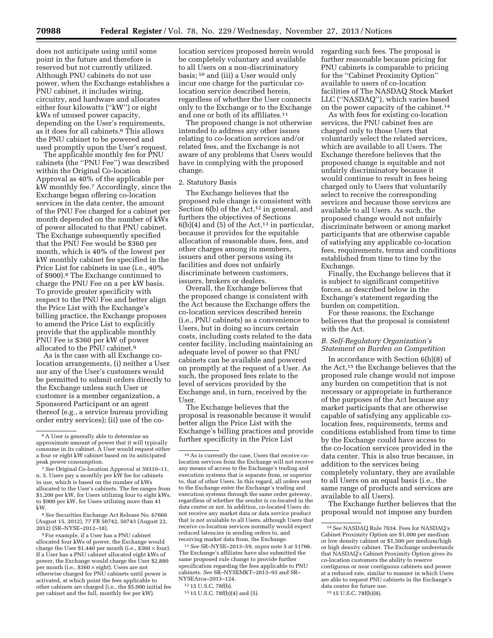does not anticipate using until some point in the future and therefore is reserved but not currently utilized. Although PNU cabinets do not use power, when the Exchange establishes a PNU cabinet, it includes wiring, circuitry, and hardware and allocates either four kilowatts (''kW'') or eight kWs of unused power capacity, depending on the User's requirements, as it does for all cabinets.6 This allows the PNU cabinet to be powered and used promptly upon the User's request.

The applicable monthly fee for PNU cabinets (the ''PNU Fee'') was described within the Original Co-location Approval as 40% of the applicable per kW monthly fee.7 Accordingly, since the Exchange began offering co-location services in the data center, the amount of the PNU Fee charged for a cabinet per month depended on the number of kWs of power allocated to that PNU cabinet. The Exchange subsequently specified that the PNU Fee would be \$360 per month, which is 40% of the lowest per kW monthly cabinet fee specified in the Price List for cabinets in use (i.e., 40% of \$900).8 The Exchange continued to charge the PNU Fee on a per kW basis. To provide greater specificity with respect to the PNU Fee and better align the Price List with the Exchange's billing practice, the Exchange proposes to amend the Price List to explicitly provide that the applicable monthly PNU Fee is \$360 per kW of power allocated to the PNU cabinet.9

As is the case with all Exchange colocation arrangements, (i) neither a User nor any of the User's customers would be permitted to submit orders directly to the Exchange unless such User or customer is a member organization, a Sponsored Participant or an agent thereof (e.g., a service bureau providing order entry services); (ii) use of the co-

8*See* Securities Exchange Act Release No. 67666 (August 15, 2012), 77 FR 50742, 50743 (August 22, 2012) (SR–NYSE–2012–18).

9For example, if a User has a PNU cabinet allocated four kWs of power, the Exchange would charge the User \$1,440 per month (i.e.,  $$360 \times four$ ). If a User has a PNU cabinet allocated eight kWs of power, the Exchange would charge the User \$2,880 per month (i.e., \$360 × eight). Users are not otherwise charged for PNU cabinets until power is activated, at which point the fees applicable to other cabinets are charged (i.e., the \$5,000 initial fee per cabinet and the full, monthly fee per kW).

location services proposed herein would be completely voluntary and available to all Users on a non-discriminatory basis; 10 and (iii) a User would only incur one charge for the particular colocation service described herein, regardless of whether the User connects only to the Exchange or to the Exchange and one or both of its affiliates.11

The proposed change is not otherwise intended to address any other issues relating to co-location services and/or related fees, and the Exchange is not aware of any problems that Users would have in complying with the proposed change.

### 2. Statutory Basis

The Exchange believes that the proposed rule change is consistent with Section  $6(b)$  of the Act,<sup>12</sup> in general, and furthers the objectives of Sections  $6(b)(4)$  and  $(5)$  of the Act,<sup>13</sup> in particular, because it provides for the equitable allocation of reasonable dues, fees, and other charges among its members, issuers and other persons using its facilities and does not unfairly discriminate between customers, issuers, brokers or dealers.

Overall, the Exchange believes that the proposed change is consistent with the Act because the Exchange offers the co-location services described herein (i.e., PNU cabinets) as a convenience to Users, but in doing so incurs certain costs, including costs related to the data center facility, including maintaining an adequate level of power so that PNU cabinets can be available and powered on promptly at the request of a User. As such, the proposed fees relate to the level of services provided by the Exchange and, in turn, received by the User.

The Exchange believes that the proposal is reasonable because it would better align the Price List with the Exchange's billing practices and provide further specificity in the Price List

11*See* SR–NYSE–2013–59, *supra* note 5 at 51766. The Exchange's affiliates have also submitted the same proposed rule change to provide further specification regarding the fees applicable to PNU cabinets. *See* SR–NYSEMKT–2013–93 and SR– NYSEArca–2013–124.

regarding such fees. The proposal is further reasonable because pricing for PNU cabinets is comparable to pricing for the ''Cabinet Proximity Option'' available to users of co-location facilities of The NASDAQ Stock Market LLC (''NASDAQ''), which varies based on the power capacity of the cabinet.14

As with fees for existing co-location services, the PNU cabinet fees are charged only to those Users that voluntarily select the related services, which are available to all Users. The Exchange therefore believes that the proposed change is equitable and not unfairly discriminatory because it would continue to result in fees being charged only to Users that voluntarily select to receive the corresponding services and because those services are available to all Users. As such, the proposed change would not unfairly discriminate between or among market participants that are otherwise capable of satisfying any applicable co-location fees, requirements, terms and conditions established from time to time by the Exchange.

Finally, the Exchange believes that it is subject to significant competitive forces, as described below in the Exchange's statement regarding the burden on competition.

For these reasons, the Exchange believes that the proposal is consistent with the Act.

## *B. Self-Regulatory Organization's Statement on Burden on Competition*

In accordance with Section 6(b)(8) of the Act,15 the Exchange believes that the proposed rule change would not impose any burden on competition that is not necessary or appropriate in furtherance of the purposes of the Act because any market participants that are otherwise capable of satisfying any applicable colocation fees, requirements, terms and conditions established from time to time by the Exchange could have access to the co-location services provided in the data center. This is also true because, in addition to the services being completely voluntary, they are available to all Users on an equal basis (i.e., the same range of products and services are available to all Users).

The Exchange further believes that the proposal would not impose any burden

<sup>6</sup>A User is generally able to determine an approximate amount of power that it will typically consume in its cabinet. A User would request either a four or eight kW cabinet based on its anticipated peak power consumption.

<sup>7</sup>*See* Original Co-location Approval at 59310–11, n. 5. Users pay a monthly per kW fee for cabinets in use, which is based on the number of kWs allocated to the User's cabinets. The fee ranges from \$1,200 per kW, for Users utilizing four to eight kWs, to \$900 per kW, for Users utilizing more than 41 kW.

<sup>10</sup>As is currently the case, Users that receive colocation services from the Exchange will not receive any means of access to the Exchange's trading and execution systems that is separate from, or superior to, that of other Users. In this regard, all orders sent to the Exchange enter the Exchange's trading and execution systems through the same order gateway, regardless of whether the sender is co-located in the data center or not. In addition, co-located Users do not receive any market data or data service product that is not available to all Users, although Users that receive co-location services normally would expect reduced latencies in sending orders to, and receiving market data from, the Exchange.

<sup>12</sup> 15 U.S.C. 78f(b).

<sup>13</sup> 15 U.S.C. 78f(b)(4) and (5).

<sup>14</sup>*See* NASDAQ Rule 7034. Fees for NASDAQ's Cabinet Proximity Option are \$1,000 per medium or low density cabinet or \$1,500 per medium/high or high density cabinet. The Exchange understands that NASDAQ's Cabinet Proximity Option gives its co-location customers the ability to reserve contiguous or near contiguous cabinets and power at a reduced rate, similar to manner in which Users are able to request PNU cabinets in the Exchange's data center for future use.

<sup>15</sup> 15 U.S.C. 78f(b)(8).